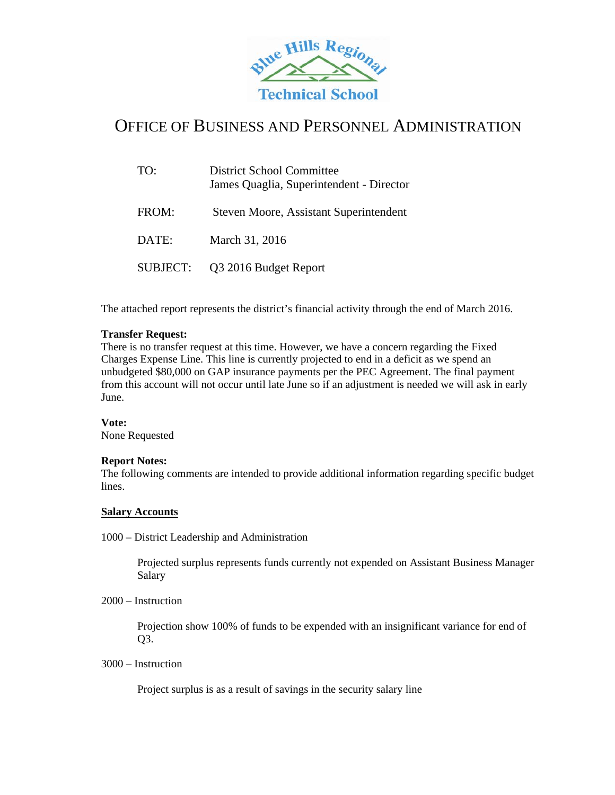

## OFFICE OF BUSINESS AND PERSONNEL ADMINISTRATION

| TO:      | District School Committee<br>James Quaglia, Superintendent - Director |
|----------|-----------------------------------------------------------------------|
| FROM:    | Steven Moore, Assistant Superintendent                                |
| DATE:    | March 31, 2016                                                        |
| SUBJECT: | Q3 2016 Budget Report                                                 |

The attached report represents the district's financial activity through the end of March 2016.

## **Transfer Request:**

There is no transfer request at this time. However, we have a concern regarding the Fixed Charges Expense Line. This line is currently projected to end in a deficit as we spend an unbudgeted \$80,000 on GAP insurance payments per the PEC Agreement. The final payment from this account will not occur until late June so if an adjustment is needed we will ask in early June.

#### **Vote:**

None Requested

#### **Report Notes:**

The following comments are intended to provide additional information regarding specific budget lines.

#### **Salary Accounts**

1000 – District Leadership and Administration

Projected surplus represents funds currently not expended on Assistant Business Manager Salary

2000 – Instruction

Projection show 100% of funds to be expended with an insignificant variance for end of Q3.

3000 – Instruction

Project surplus is as a result of savings in the security salary line